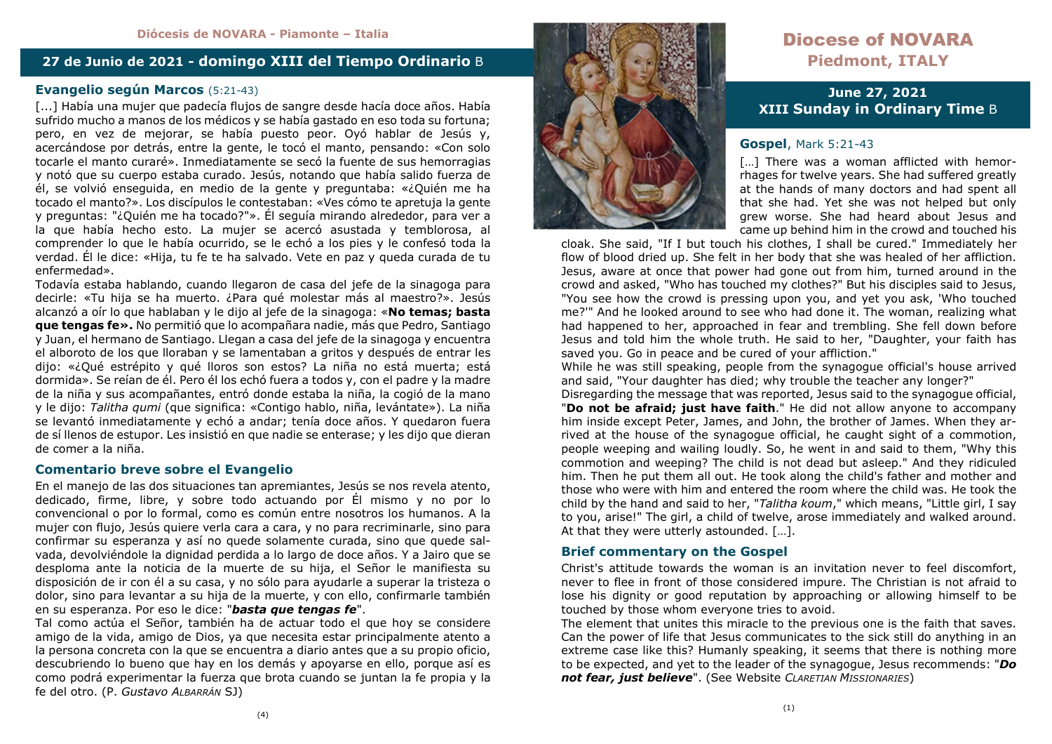## **27 de Junio de 2021 - domingo XIII del Tiempo Ordinario** B

# **Evangelio según Marcos** (5:21-43)

[...] Había una mujer que padecía flujos de sangre desde hacía doce años. Había sufrido mucho a manos de los médicos y se había gastado en eso toda su fortuna; pero, en vez de mejorar, se había puesto peor. Oyó hablar de Jesús y, acercándose por detrás, entre la gente, le tocó el manto, pensando: «Con solo tocarle el manto curaré». Inmediatamente se secó la fuente de sus hemorragias y notó que su cuerpo estaba curado. Jesús, notando que había salido fuerza de él, se volvió enseguida, en medio de la gente y preguntaba: «¿Quién me ha tocado el manto?». Los discípulos le contestaban: «Ves cómo te apretuja la gente y preguntas: "¿Quién me ha tocado?"». Él seguía mirando alrededor, para ver a la que había hecho esto. La mujer se acercó asustada y temblorosa, al comprender lo que le había ocurrido, se le echó a los pies y le confesó toda la verdad. Él le dice: «Hija, tu fe te ha salvado. Vete en paz y queda curada de tu enfermedad».

 Todavía estaba hablando, cuando llegaron de casa del jefe de la sinagoga para decirle: «Tu hija se ha muerto. ¿Para qué molestar más al maestro?». Jesús alcanzó a oír lo que hablaban y le dijo al jefe de la sinagoga: «**No temas; basta que tengas fe».** No permitió que lo acompañara nadie, más que Pedro, Santiago y Juan, el hermano de Santiago. Llegan a casa del jefe de la sinagoga y encuentra el alboroto de los que lloraban y se lamentaban a gritos y después de entrar les dijo: «¿Qué estrépito y qué lloros son estos? La niña no está muerta; está dormida». Se reían de él. Pero él los echó fuera a todos y, con el padre y la madre de la niña y sus acompañantes, entró donde estaba la niña, la cogió de la mano y le dijo: *Talitha qumi* (que significa: «Contigo hablo, niña, levántate»). La niña se levantó inmediatamente y echó a andar; tenía doce años. Y quedaron fuera de sí llenos de estupor. Les insistió en que nadie se enterase; y les dijo que dieran de comer a la niña.

## **Comentario breve sobre el Evangelio**

En el manejo de las dos situaciones tan apremiantes, Jesús se nos revela atento, dedicado, firme, libre, y sobre todo actuando por Él mismo y no por lo convencional o por lo formal, como es común entre nosotros los humanos. A la mujer con flujo, Jesús quiere verla cara a cara, y no para recriminarle, sino para confirmar su esperanza y así no quede solamente curada, sino que quede salvada, devolviéndole la dignidad perdida a lo largo de doce años. Y a Jairo que se desploma ante la noticia de la muerte de su hija, el Señor le manifiesta su disposición de ir con él a su casa, y no sólo para ayudarle a superar la tristeza o dolor, sino para levantar a su hija de la muerte, y con ello, confirmarle también en su esperanza. Por eso le dice: "*basta que tengas fe*".

 Tal como actúa el Señor, también ha de actuar todo el que hoy se considere amigo de la vida, amigo de Dios, ya que necesita estar principalmente atento a la persona concreta con la que se encuentra a diario antes que a su propio oficio, descubriendo lo bueno que hay en los demás y apoyarse en ello, porque así es como podrá experimentar la fuerza que brota cuando se juntan la fe propia y la fe del otro. (P. *Gustavo ALBARRÁN* SJ)



# Diocese of NOVARA **Piedmont, ITALY**

## **June 27, 2021 XIII Sunday in Ordinary Time** B

#### **Gospel**, Mark 5:21-43

[...] There was a woman afflicted with hemorrhages for twelve years. She had suffered greatly at the hands of many doctors and had spent all that she had. Yet she was not helped but only grew worse. She had heard about Jesus and came up behind him in the crowd and touched his

 cloak. She said, "If I but touch his clothes, I shall be cured." Immediately her flow of blood dried up. She felt in her body that she was healed of her affliction. Jesus, aware at once that power had gone out from him, turned around in the crowd and asked, "Who has touched my clothes?" But his disciples said to Jesus, "You see how the crowd is pressing upon you, and yet you ask, 'Who touched me?'" And he looked around to see who had done it. The woman, realizing what had happened to her, approached in fear and trembling. She fell down before Jesus and told him the whole truth. He said to her, "Daughter, your faith has saved you. Go in peace and be cured of your affliction."

 While he was still speaking, people from the synagogue official's house arrived and said, "Your daughter has died; why trouble the teacher any longer?"

 Disregarding the message that was reported, Jesus said to the synagogue official, "**Do not be afraid; just have faith**." He did not allow anyone to accompany him inside except Peter, James, and John, the brother of James. When they arrived at the house of the synagogue official, he caught sight of a commotion, people weeping and wailing loudly. So, he went in and said to them, "Why this commotion and weeping? The child is not dead but asleep." And they ridiculed him. Then he put them all out. He took along the child's father and mother and those who were with him and entered the room where the child was. He took the child by the hand and said to her, "*Talitha koum*," which means, "Little girl, I say to you, arise!" The girl, a child of twelve, arose immediately and walked around. At that they were utterly astounded. […].

## **Brief commentary on the Gospel**

Christ's attitude towards the woman is an invitation never to feel discomfort, never to flee in front of those considered impure. The Christian is not afraid to lose his dignity or good reputation by approaching or allowing himself to be touched by those whom everyone tries to avoid.

 The element that unites this miracle to the previous one is the faith that saves. Can the power of life that Jesus communicates to the sick still do anything in an extreme case like this? Humanly speaking, it seems that there is nothing more to be expected, and yet to the leader of the synagogue, Jesus recommends: "*Do not fear, just believe*". (See Website *CLARETIAN MISSIONARIES*)